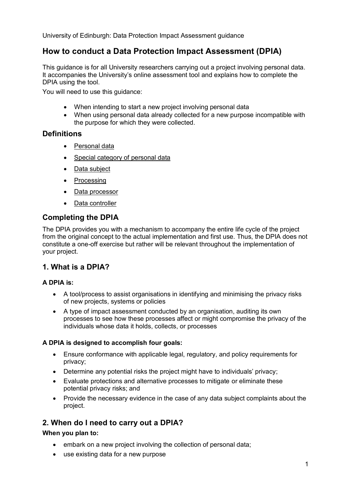### **How to conduct a Data Protection Impact Assessment (DPIA)**

This guidance is for all University researchers carrying out a project involving personal data. It accompanies the University's online assessment tool and explains how to complete the DPIA using the tool.

You will need to use this guidance:

- When intending to start a new project involving personal data
- When using personal data already collected for a new purpose incompatible with the purpose for which they were collected.

### **Definitions**

- [Personal data](http://www.ed.ac.uk/records-management/data-protection/what-is-it/definitions)
- [Special category of](http://www.ed.ac.uk/records-management/data-protection/what-is-it/definitions) personal data
- [Data subject](http://www.ed.ac.uk/records-management/data-protection/what-is-it/definitions)
- [Processing](http://www.ed.ac.uk/records-management/data-protection/what-is-it/definitions)
- [Data processor](http://www.ed.ac.uk/records-management/data-protection/what-is-it/definitions)
- [Data controller](http://www.ed.ac.uk/records-management/data-protection/what-is-it/definitions)

### **Completing the DPIA**

The DPIA provides you with a mechanism to accompany the entire life cycle of the project from the original concept to the actual implementation and first use. Thus, the DPIA does not constitute a one-off exercise but rather will be relevant throughout the implementation of your project.

### **1. What is a DPIA?**

### **A DPIA is:**

- A tool/process to assist organisations in identifying and minimising the privacy risks of new projects, systems or policies
- A type of impact assessment conducted by an organisation, auditing its own processes to see how these processes affect or might compromise the privacy of the individuals whose data it holds, collects, or processes

### **A DPIA is designed to accomplish four goals:**

- Ensure conformance with applicable legal, regulatory, and policy requirements for privacy;
- Determine any potential risks the project might have to individuals' privacy;
- Evaluate protections and alternative processes to mitigate or eliminate these potential privacy risks; and
- Provide the necessary evidence in the case of any data subject complaints about the project.

### **2. When do I need to carry out a DPIA?**

### **When you plan to:**

- embark on a new project involving the collection of personal data;
- use existing data for a new purpose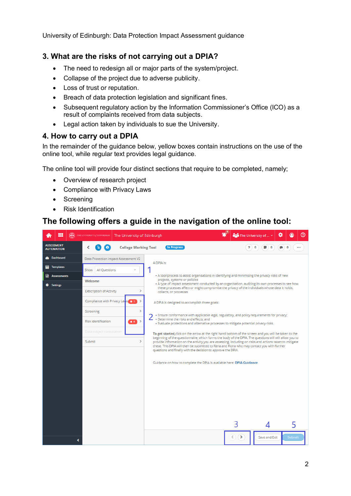### **3. What are the risks of not carrying out a DPIA?**

- The need to redesign all or major parts of the system/project.
- Collapse of the project due to adverse publicity.
- Loss of trust or reputation.
- Breach of data protection legislation and significant fines.
- Subsequent regulatory action by the Information Commissioner's Office (ICO) as a result of complaints received from data subjects.
- Legal action taken by individuals to sue the University.

### **4. How to carry out a DPIA**

In the remainder of the guidance below, yellow boxes contain instructions on the use of the online tool, while regular text provides legal guidance.

The online tool will provide four distinct sections that require to be completed, namely;

- Overview of research project
- Compliance with Privacy Laws
- Screening
- Risk Identification

### **The following offers a guide in the navigation of the online tool:**

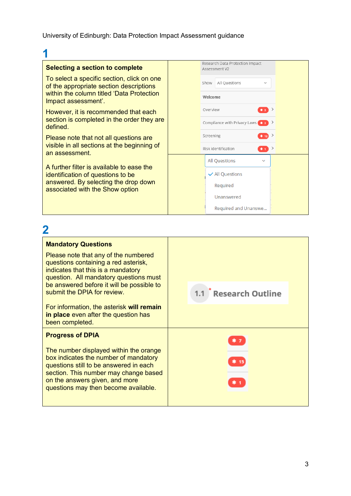## **1**

#### **Selecting a section to complete**

To select a specific section, click on one of the appropriate section descriptions within the column titled 'Data Protection Impact assessment'.

However, it is recommended that each section is completed in the order they are defined.

Please note that not all questions are visible in all sections at the beginning of an assessment.

A further filter is available to ease the identification of questions to be answered. By selecting the drop down associated with the Show option

|                                               | Research Data Protection Impact<br>Assessment V2 |                      |      |    |  |
|-----------------------------------------------|--------------------------------------------------|----------------------|------|----|--|
|                                               | Show                                             | All Questions        |      |    |  |
| Welcome                                       |                                                  |                      |      |    |  |
|                                               | Overview                                         |                      | $*2$ | -> |  |
| Compliance with Privacy Laws <b>**</b> 2<br>→ |                                                  |                      |      |    |  |
| Screening<br>* 12                             |                                                  |                      | >    |    |  |
| Risk identification<br>><br>۰.                |                                                  |                      |      |    |  |
|                                               |                                                  | <b>All Questions</b> |      |    |  |
|                                               |                                                  | ✔ All Questions      |      |    |  |
|                                               |                                                  | Required             |      |    |  |
|                                               |                                                  | Unanswered           |      |    |  |
|                                               |                                                  | Required and Unanswe |      |    |  |

# **2**

| <b>Mandatory Questions</b>                                                                                                                                                                                                                   |                  |
|----------------------------------------------------------------------------------------------------------------------------------------------------------------------------------------------------------------------------------------------|------------------|
| Please note that any of the numbered<br>questions containing a red asterisk,<br>indicates that this is a mandatory<br>question. All mandatory questions must                                                                                 |                  |
| be answered before it will be possible to<br>submit the DPIA for review.                                                                                                                                                                     | Research Outline |
| For information, the asterisk will remain<br>in place even after the question has<br>been completed.                                                                                                                                         |                  |
| <b>Progress of DPIA</b>                                                                                                                                                                                                                      |                  |
| The number displayed within the orange<br>box indicates the number of mandatory<br>questions still to be answered in each<br>section. This number may change based<br>on the answers given, and more<br>questions may then become available. |                  |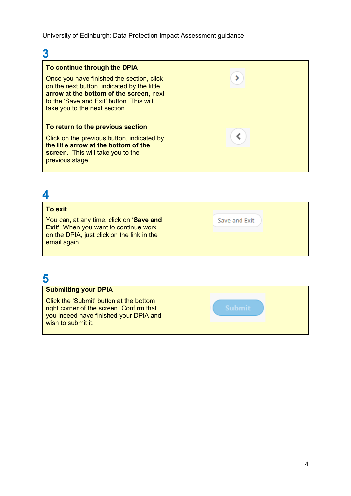# **3**

| To continue through the DPIA                                                                                                                                                                                    |  |
|-----------------------------------------------------------------------------------------------------------------------------------------------------------------------------------------------------------------|--|
| Once you have finished the section, click<br>on the next button, indicated by the little<br>arrow at the bottom of the screen, next<br>to the 'Save and Exit' button. This will<br>take you to the next section |  |
| To return to the previous section<br>Click on the previous button, indicated by<br>the little arrow at the bottom of the<br><b>screen.</b> This will take you to the<br>previous stage                          |  |

## **4**

| <b>To exit</b>                                                                                                                                         |               |
|--------------------------------------------------------------------------------------------------------------------------------------------------------|---------------|
| You can, at any time, click on 'Save and<br><b>Exit'.</b> When you want to continue work<br>on the DPIA, just click on the link in the<br>email again. | Save and Exit |

## **5**

| ີ                                                                                                                                                   |               |
|-----------------------------------------------------------------------------------------------------------------------------------------------------|---------------|
| <b>Submitting your DPIA</b>                                                                                                                         |               |
| Click the 'Submit' button at the bottom<br>right corner of the screen. Confirm that<br>you indeed have finished your DPIA and<br>wish to submit it. | <b>Auhmir</b> |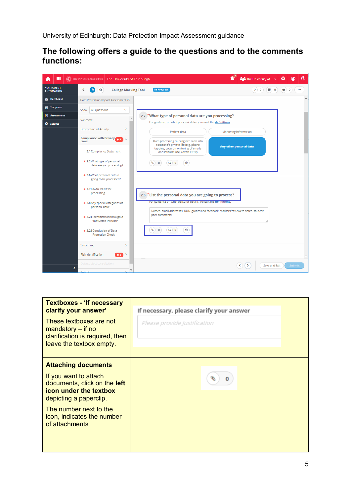### **The following offers a guide to the questions and to the comments functions:**



| <b>Textboxes - 'If necessary</b><br>clarify your answer'<br>These textboxes are not<br>mandatory $-$ if no<br>clarification is required, then<br>leave the textbox empty.                                                | If necessary, please clarify your answer<br>Please provide Justification |
|--------------------------------------------------------------------------------------------------------------------------------------------------------------------------------------------------------------------------|--------------------------------------------------------------------------|
| <b>Attaching documents</b><br>If you want to attach<br>documents, click on the left<br><b>icon under the textbox</b><br>depicting a paperclip.<br>The number next to the<br>icon, indicates the number<br>of attachments | o                                                                        |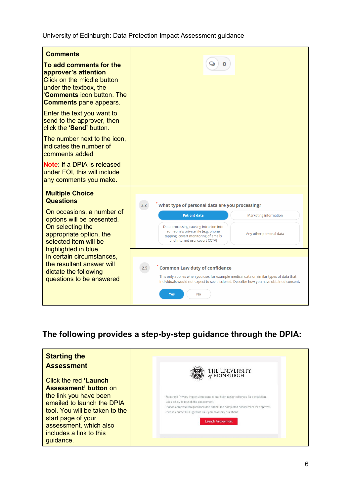| <b>Comments</b><br>To add comments for the<br>approver's attention<br>Click on the middle button<br>under the textbox, the<br><b>Comments icon button. The</b><br><b>Comments</b> pane appears. |                                                                                                                                                                                                                                                                                                   |
|-------------------------------------------------------------------------------------------------------------------------------------------------------------------------------------------------|---------------------------------------------------------------------------------------------------------------------------------------------------------------------------------------------------------------------------------------------------------------------------------------------------|
| Enter the text you want to<br>send to the approver, then<br>click the 'Send' button.                                                                                                            |                                                                                                                                                                                                                                                                                                   |
| The number next to the icon,<br>indicates the number of<br>comments added                                                                                                                       |                                                                                                                                                                                                                                                                                                   |
| <b>Note:</b> If a DPIA is released<br>under FOI, this will include<br>any comments you make.                                                                                                    |                                                                                                                                                                                                                                                                                                   |
| <b>Multiple Choice</b><br><b>Questions</b><br>On occasions, a number of<br>options will be presented.<br>On selecting the<br>appropriate option, the<br>selected item will be                   | What type of personal data are you processing?<br>2.2<br><b>Patient data</b><br><b>Marketing information</b><br>Data processing causing intrusion into<br>someone's private life (e.g. phone<br>Any other personal data<br>tapping, covert monitoring of emails<br>and internet use, covert CCTV) |
| highlighted in blue.<br>In certain circumstances,<br>the resultant answer will<br>dictate the following<br>questions to be answered                                                             | <b>Common Law duty of confidence</b><br>2.5<br>This only applies when you use, for example medical data or similar types of data that<br>individuals would not expect to see disclosed. Describe how you have obtained consent.<br><b>No</b><br>Yes                                               |

### **The following provides a step-by-step guidance through the DPIA:**

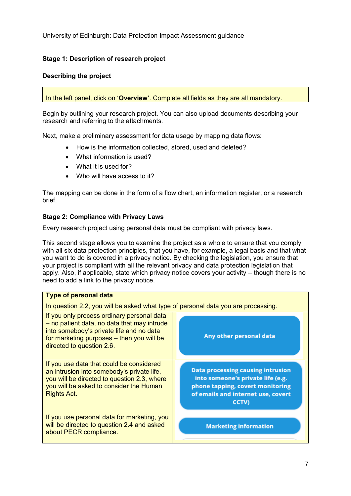### **Stage 1: Description of research project**

### **Describing the project**

In the left panel, click on '**Overview'**. Complete all fields as they are all mandatory.

Begin by outlining your research project. You can also upload documents describing your research and referring to the attachments.

Next, make a preliminary assessment for data usage by mapping data flows:

- How is the information collected, stored, used and deleted?
- What information is used?
- What it is used for?
- Who will have access to it?

The mapping can be done in the form of a flow chart, an information register, or a research brief.

### **Stage 2: Compliance with Privacy Laws**

Every research project using personal data must be compliant with privacy laws.

This second stage allows you to examine the project as a whole to ensure that you comply with all six data protection principles, that you have, for example, a legal basis and that what you want to do is covered in a privacy notice. By checking the legislation, you ensure that your project is compliant with all the relevant privacy and data protection legislation that apply. Also, if applicable, state which privacy notice covers your activity – though there is no need to add a link to the privacy notice.

| <b>Type of personal data</b>                                                                                                                                                                                    |                                                                                                                                                                  |  |  |  |
|-----------------------------------------------------------------------------------------------------------------------------------------------------------------------------------------------------------------|------------------------------------------------------------------------------------------------------------------------------------------------------------------|--|--|--|
| In question 2.2, you will be asked what type of personal data you are processing.                                                                                                                               |                                                                                                                                                                  |  |  |  |
| If you only process ordinary personal data<br>- no patient data, no data that may intrude<br>into somebody's private life and no data<br>for marketing purposes - then you will be<br>directed to question 2.6. | Any other personal data                                                                                                                                          |  |  |  |
| If you use data that could be considered<br>an intrusion into somebody's private life,<br>you will be directed to question 2.3, where<br>you will be asked to consider the Human<br><b>Rights Act.</b>          | <b>Data processing causing intrusion</b><br>into someone's private life (e.g.<br>phone tapping, covert monitoring<br>of emails and internet use, covert<br>CCTV) |  |  |  |
| If you use personal data for marketing, you<br>will be directed to question 2.4 and asked<br>about PECR compliance.                                                                                             | <b>Marketing information</b>                                                                                                                                     |  |  |  |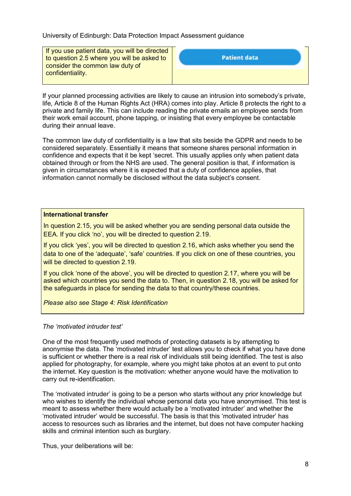If you use patient data, you will be directed to question 2.5 where you will be asked to consider the common law duty of confidentiality.

| <b>Patient data</b> |  |
|---------------------|--|
|                     |  |

If your planned processing activities are likely to cause an intrusion into somebody's private, life, Article 8 of the Human Rights Act (HRA) comes into play. Article 8 protects the right to a private and family life. This can include reading the private emails an employee sends from their work email account, phone tapping, or insisting that every employee be contactable during their annual leave.

The common law duty of confidentiality is a law that sits beside the GDPR and needs to be considered separately. Essentially it means that someone shares personal information in confidence and expects that it be kept 'secret. This usually applies only when patient data obtained through or from the NHS are used. The general position is that, if information is given in circumstances where it is expected that a duty of confidence applies, that information cannot normally be disclosed without the data subject's consent.

### **International transfer**

In question 2.15, you will be asked whether you are sending personal data outside the EEA. If you click 'no', you will be directed to question 2.19.

If you click 'yes', you will be directed to question 2.16, which asks whether you send the data to one of the 'adequate', 'safe' countries. If you click on one of these countries, you will be directed to question 2.19.

If you click 'none of the above', you will be directed to question 2.17, where you will be asked which countries you send the data to. Then, in question 2.18, you will be asked for the safeguards in place for sending the data to that country/these countries.

*Please also see Stage 4: Risk Identification*

### *The 'motivated intruder test'*

One of the most frequently used methods of protecting datasets is by attempting to anonymise the data. The 'motivated intruder' test allows you to check if what you have done is sufficient or whether there is a real risk of individuals still being identified. The test is also applied for photography, for example, where you might take photos at an event to put onto the internet. Key question is the motivation: whether anyone would have the motivation to carry out re-identification.

The 'motivated intruder' is going to be a person who starts without any prior knowledge but who wishes to identify the individual whose personal data you have anonymised. This test is meant to assess whether there would actually be a 'motivated intruder' and whether the 'motivated intruder' would be successful. The basis is that this 'motivated intruder' has access to resources such as libraries and the internet, but does not have computer hacking skills and criminal intention such as burglary.

Thus, your deliberations will be: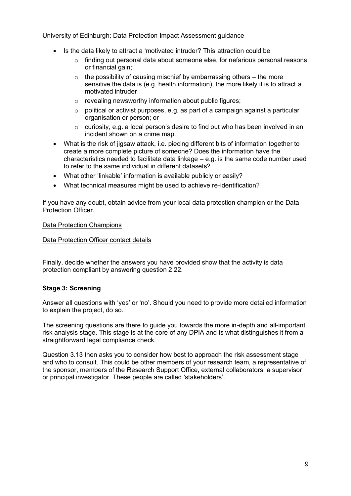- Is the data likely to attract a 'motivated intruder? This attraction could be
	- o finding out personal data about someone else, for nefarious personal reasons or financial gain;
	- $\circ$  the possibility of causing mischief by embarrassing others the more sensitive the data is (e.g. health information), the more likely it is to attract a motivated intruder
	- $\circ$  revealing newsworthy information about public figures;
	- $\circ$  political or activist purposes, e.g. as part of a campaign against a particular organisation or person; or
	- $\circ$  curiosity, e.g. a local person's desire to find out who has been involved in an incident shown on a crime map.
- What is the risk of jigsaw attack, i.e. piecing different bits of information together to create a more complete picture of someone? Does the information have the characteristics needed to facilitate data linkage – e.g. is the same code number used to refer to the same individual in different datasets?
- What other 'linkable' information is available publicly or easily?
- What technical measures might be used to achieve re-identification?

If you have any doubt, obtain advice from your local data protection champion or the Data Protection Officer.

#### [Data Protection Champions](https://www.wiki.ed.ac.uk/display/FoIP/Data+Protection+Champions)

#### [Data Protection Officer contact details](https://www.ed.ac.uk/profile/data-protection-officer)

Finally, decide whether the answers you have provided show that the activity is data protection compliant by answering question 2.22.

### **Stage 3: Screening**

Answer all questions with 'yes' or 'no'. Should you need to provide more detailed information to explain the project, do so.

The screening questions are there to guide you towards the more in-depth and all-important risk analysis stage. This stage is at the core of any DPIA and is what distinguishes it from a straightforward legal compliance check.

Question 3.13 then asks you to consider how best to approach the risk assessment stage and who to consult. This could be other members of your research team, a representative of the sponsor, members of the Research Support Office, external collaborators, a supervisor or principal investigator. These people are called 'stakeholders'.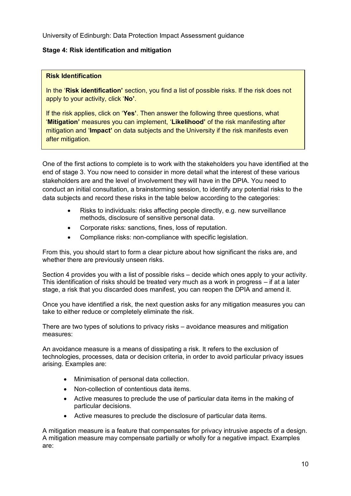### **Stage 4: Risk identification and mitigation**

### **Risk Identification**

In the '**Risk identification'** section, you find a list of possible risks. If the risk does not apply to your activity, click '**No'**.

If the risk applies, click on '**Yes'**. Then answer the following three questions, what '**Mitigation'** measures you can implement, '**Likelihood'** of the risk manifesting after mitigation and '**Impact'** on data subjects and the University if the risk manifests even after mitigation.

One of the first actions to complete is to work with the stakeholders you have identified at the end of stage 3. You now need to consider in more detail what the interest of these various stakeholders are and the level of involvement they will have in the DPIA. You need to conduct an initial consultation, a brainstorming session, to identify any potential risks to the data subjects and record these risks in the table below according to the categories:

- Risks to individuals: risks affecting people directly, e.g. new surveillance methods, disclosure of sensitive personal data.
- Corporate risks: sanctions, fines, loss of reputation.
- Compliance risks: non-compliance with specific legislation.

From this, you should start to form a clear picture about how significant the risks are, and whether there are previously unseen risks.

Section 4 provides you with a list of possible risks – decide which ones apply to your activity. This identification of risks should be treated very much as a work in progress – if at a later stage, a risk that you discarded does manifest, you can reopen the DPIA and amend it.

Once you have identified a risk, the next question asks for any mitigation measures you can take to either reduce or completely eliminate the risk.

There are two types of solutions to privacy risks – avoidance measures and mitigation measures:

An avoidance measure is a means of dissipating a risk. It refers to the exclusion of technologies, processes, data or decision criteria, in order to avoid particular privacy issues arising. Examples are:

- Minimisation of personal data collection.
- Non-collection of contentious data items.
- Active measures to preclude the use of particular data items in the making of particular decisions.
- Active measures to preclude the disclosure of particular data items.

A mitigation measure is a feature that compensates for privacy intrusive aspects of a design. A mitigation measure may compensate partially or wholly for a negative impact. Examples are: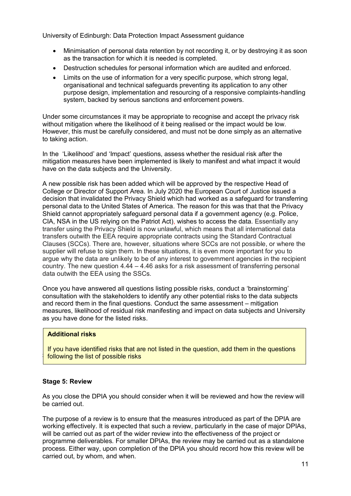- Minimisation of personal data retention by not recording it, or by destroying it as soon as the transaction for which it is needed is completed.
- Destruction schedules for personal information which are audited and enforced.
- Limits on the use of information for a very specific purpose, which strong legal, organisational and technical safeguards preventing its application to any other purpose design, implementation and resourcing of a responsive complaints-handling system, backed by serious sanctions and enforcement powers.

Under some circumstances it may be appropriate to recognise and accept the privacy risk without mitigation where the likelihood of it being realised or the impact would be low. However, this must be carefully considered, and must not be done simply as an alternative to taking action.

In the 'Likelihood' and 'Impact' questions, assess whether the residual risk after the mitigation measures have been implemented is likely to manifest and what impact it would have on the data subjects and the University.

A new possible risk has been added which will be approved by the respective Head of College or Director of Support Area. In July 2020 the European Court of Justice issued a decision that invalidated the Privacy Shield which had worked as a safeguard for transferring personal data to the United States of America. The reason for this was that that the Privacy Shield cannot appropriately safeguard personal data if a government agency (e.g. Police, CIA, NSA in the US relying on the Patriot Act), wishes to access the data. Essentially any transfer using the Privacy Shield is now unlawful, which means that all international data transfers outwith the EEA require appropriate contracts using the Standard Contractual Clauses (SCCs). There are, however, situations where SCCs are not possible, or where the supplier will refuse to sign them. In these situations, it is even more important for you to argue why the data are unlikely to be of any interest to government agencies in the recipient country. The new question  $4.44 - 4.46$  asks for a risk assessment of transferring personal data outwith the EEA using the SSCs.

Once you have answered all questions listing possible risks, conduct a 'brainstorming' consultation with the stakeholders to identify any other potential risks to the data subjects and record them in the final questions. Conduct the same assessment – mitigation measures, likelihood of residual risk manifesting and impact on data subjects and University as you have done for the listed risks.

### **Additional risks**

**following the list of possible risks** If you have identified risks that are not listed in the question, add them in the questions

#### **Stage 5: Review**

As you close the DPIA you should consider when it will be reviewed and how the review will be carried out.

The purpose of a review is to ensure that the measures introduced as part of the DPIA are working effectively. It is expected that such a review, particularly in the case of major DPIAs, will be carried out as part of the wider review into the effectiveness of the project or programme deliverables. For smaller DPIAs, the review may be carried out as a standalone process. Either way, upon completion of the DPIA you should record how this review will be carried out, by whom, and when.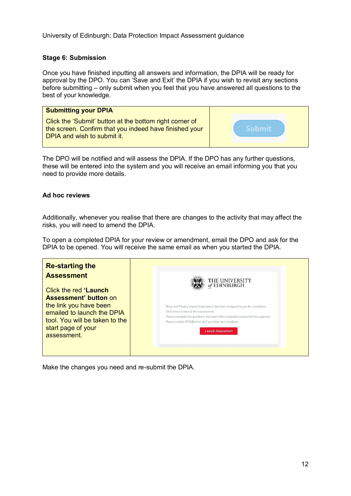### **Stage 6: Submission**

Once you have finished inputting all answers and information, the DPIA will be ready for approval by the DPO. You can 'Save and Exit' the DPIA if you wish to revisit any sections before submitting – only submit when you feel that you have answered all questions to the best of your knowledge.

| <b>Submitting your DPIA</b>                                                                                                                      |        |
|--------------------------------------------------------------------------------------------------------------------------------------------------|--------|
| Click the 'Submit' button at the bottom right corner of<br>the screen. Confirm that you indeed have finished your<br>DPIA and wish to submit it. | Suhmit |

The DPO will be notified and will assess the DPIA. If the DPO has any further questions, these will be entered into the system and you will receive an email informing you that you need to provide more details.

### **Ad hoc reviews**

Additionally, whenever you realise that there are changes to the activity that may affect the risks, you will need to amend the DPIA.

To open a completed DPIA for your review or amendment, email the DPO and ask for the DPIA to be opened. You will receive the same email as when you started the DPIA.

| <b>Re-starting the</b>         |                                                                                 |
|--------------------------------|---------------------------------------------------------------------------------|
| <b>Assessment</b>              | THE UNIVERSITY<br>of EDINBURGH                                                  |
| Click the red 'Launch          |                                                                                 |
| <b>Assessment' button on</b>   |                                                                                 |
| the link you have been         | Rena test Privacy Impact Assessment has been assigned to you for completion.    |
| emailed to launch the DPIA     | Click below to launch the assessment.                                           |
| tool. You will be taken to the | Please complete the questions and submit the completed assessment for approval. |
|                                | Please contact DPO@ed.ac.uk if you have any questions.                          |
| start page of your             | <b>Launch Assessment</b>                                                        |
| assessment.                    |                                                                                 |
|                                |                                                                                 |
|                                |                                                                                 |
|                                |                                                                                 |

Make the changes you need and re-submit the DPIA.